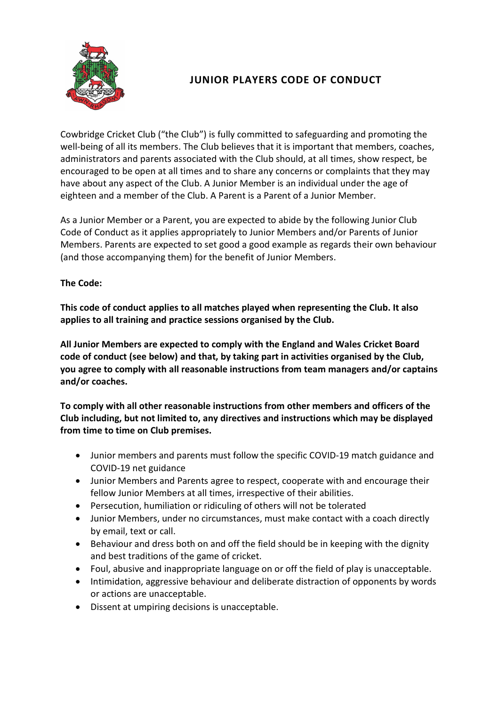

# **JUNIOR PLAYERS CODE OF CONDUCT**

Cowbridge Cricket Club ("the Club") is fully committed to safeguarding and promoting the well-being of all its members. The Club believes that it is important that members, coaches, administrators and parents associated with the Club should, at all times, show respect, be encouraged to be open at all times and to share any concerns or complaints that they may have about any aspect of the Club. A Junior Member is an individual under the age of eighteen and a member of the Club. A Parent is a Parent of a Junior Member.

As a Junior Member or a Parent, you are expected to abide by the following Junior Club Code of Conduct as it applies appropriately to Junior Members and/or Parents of Junior Members. Parents are expected to set good a good example as regards their own behaviour (and those accompanying them) for the benefit of Junior Members.

## **The Code:**

**This code of conduct applies to all matches played when representing the Club. It also applies to all training and practice sessions organised by the Club.**

**All Junior Members are expected to comply with the England and Wales Cricket Board code of conduct (see below) and that, by taking part in activities organised by the Club, you agree to comply with all reasonable instructions from team managers and/or captains and/or coaches.**

**To comply with all other reasonable instructions from other members and officers of the Club including, but not limited to, any directives and instructions which may be displayed from time to time on Club premises.**

- Junior members and parents must follow the specific [COVID-19 match guidance](https://www.teddingtoncc.co.uk/covid19-match-guidance) and [COVID-19 net guidance](https://www.teddingtoncc.co.uk/covid19-net-guidance)
- Junior Members and Parents agree to respect, cooperate with and encourage their fellow Junior Members at all times, irrespective of their abilities.
- Persecution, humiliation or ridiculing of others will not be tolerated
- Junior Members, under no circumstances, must make contact with a coach directly by email, text or call.
- Behaviour and dress both on and off the field should be in keeping with the dignity and best traditions of the game of cricket.
- Foul, abusive and inappropriate language on or off the field of play is unacceptable.
- Intimidation, aggressive behaviour and deliberate distraction of opponents by words or actions are unacceptable.
- Dissent at umpiring decisions is unacceptable.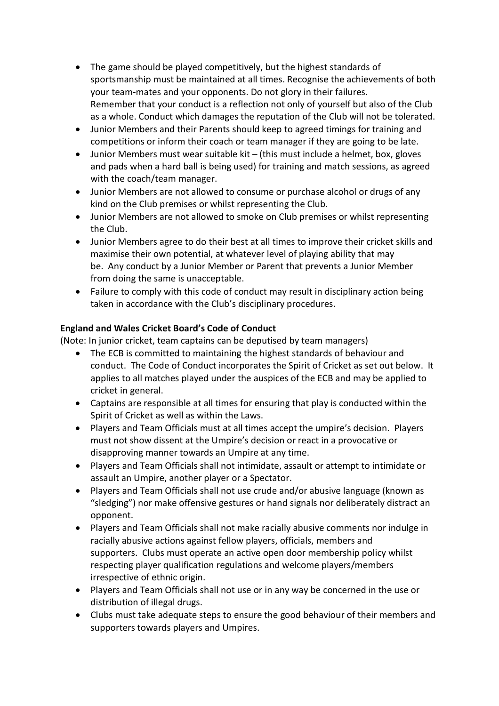- The game should be played competitively, but the highest standards of sportsmanship must be maintained at all times. Recognise the achievements of both your team-mates and your opponents. Do not glory in their failures. Remember that your conduct is a reflection not only of yourself but also of the Club as a whole. Conduct which damages the reputation of the Club will not be tolerated.
- Junior Members and their Parents should keep to agreed timings for training and competitions or inform their coach or team manager if they are going to be late.
- Junior Members must wear suitable kit (this must include a helmet, box, gloves and pads when a hard ball is being used) for training and match sessions, as agreed with the coach/team manager.
- Junior Members are not allowed to consume or purchase alcohol or drugs of any kind on the Club premises or whilst representing the Club.
- Junior Members are not allowed to smoke on Club premises or whilst representing the Club.
- Junior Members agree to do their best at all times to improve their cricket skills and maximise their own potential, at whatever level of playing ability that may be. Any conduct by a Junior Member or Parent that prevents a Junior Member from doing the same is unacceptable.
- Failure to comply with this code of conduct may result in disciplinary action being taken in accordance with the Club's disciplinary procedures.

# **England and Wales Cricket Board's Code of Conduct**

(Note: In junior cricket, team captains can be deputised by team managers)

- The ECB is committed to maintaining the highest standards of behaviour and conduct. The Code of Conduct incorporates the Spirit of Cricket as set out below. It applies to all matches played under the auspices of the ECB and may be applied to cricket in general.
- Captains are responsible at all times for ensuring that play is conducted within the Spirit of Cricket as well as within the Laws.
- Players and Team Officials must at all times accept the umpire's decision. Players must not show dissent at the Umpire's decision or react in a provocative or disapproving manner towards an Umpire at any time.
- Players and Team Officials shall not intimidate, assault or attempt to intimidate or assault an Umpire, another player or a Spectator.
- Players and Team Officials shall not use crude and/or abusive language (known as "sledging") nor make offensive gestures or hand signals nor deliberately distract an opponent.
- Players and Team Officials shall not make racially abusive comments nor indulge in racially abusive actions against fellow players, officials, members and supporters. Clubs must operate an active open door membership policy whilst respecting player qualification regulations and welcome players/members irrespective of ethnic origin.
- Players and Team Officials shall not use or in any way be concerned in the use or distribution of illegal drugs.
- Clubs must take adequate steps to ensure the good behaviour of their members and supporters towards players and Umpires.